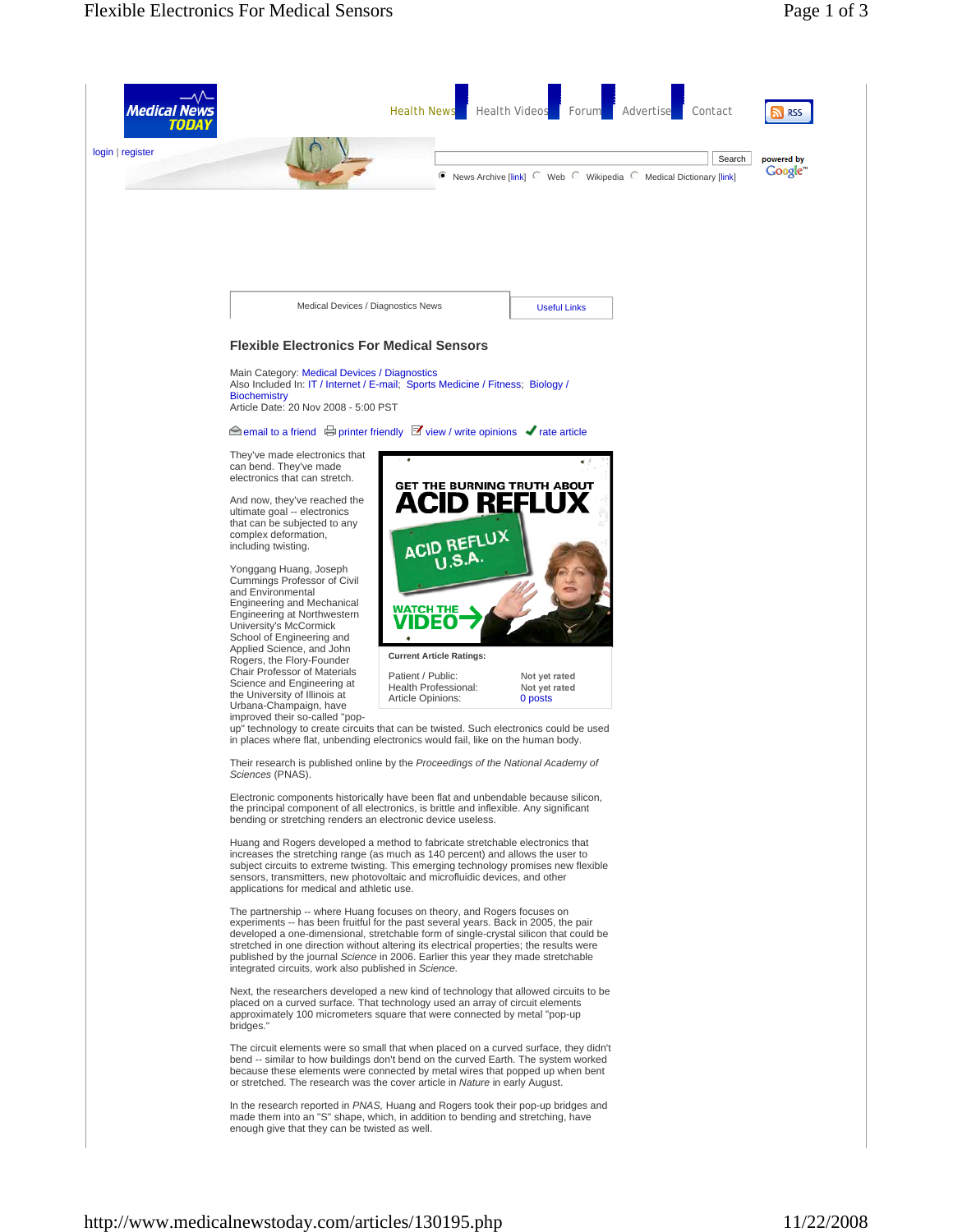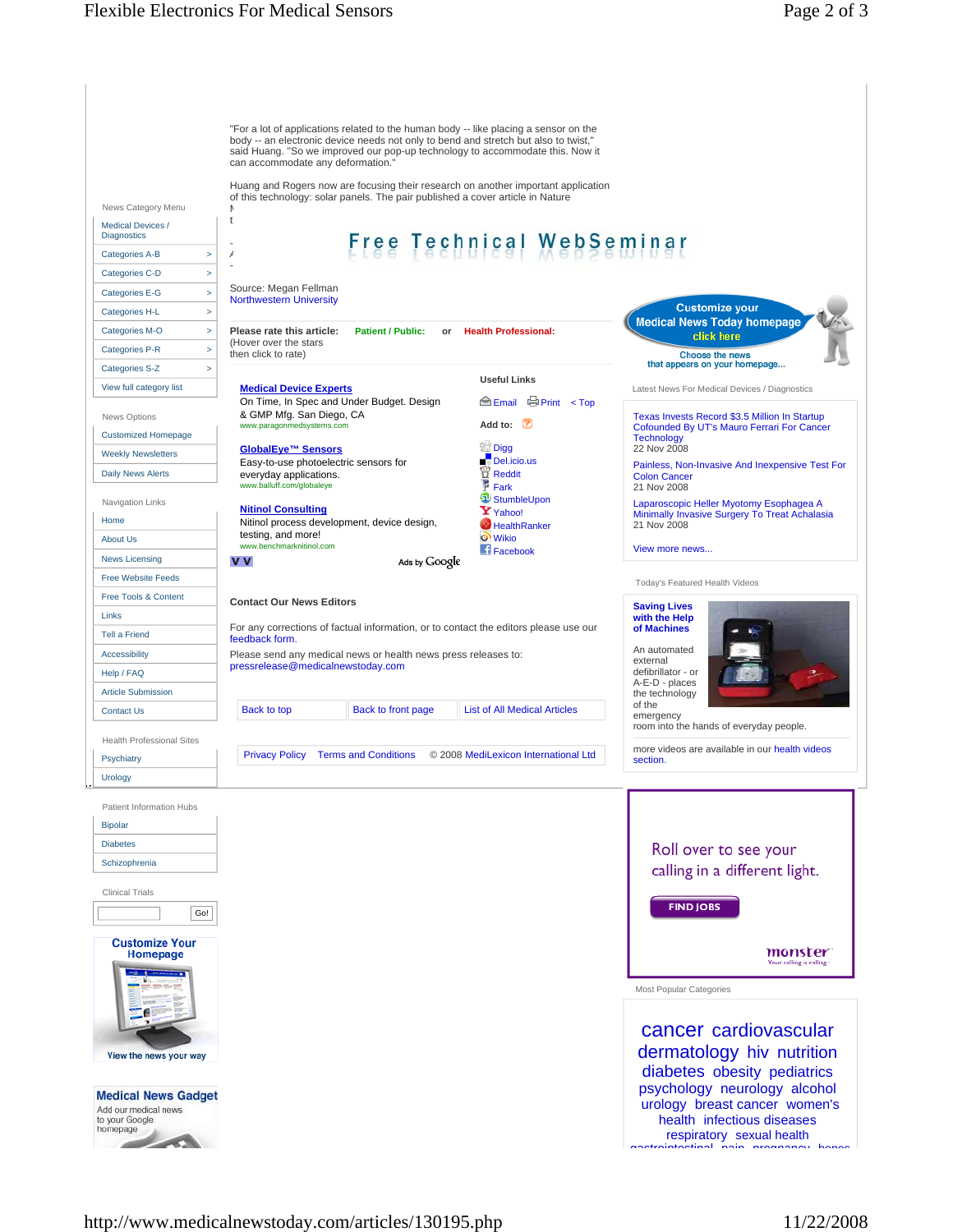![](_page_1_Picture_2.jpeg)